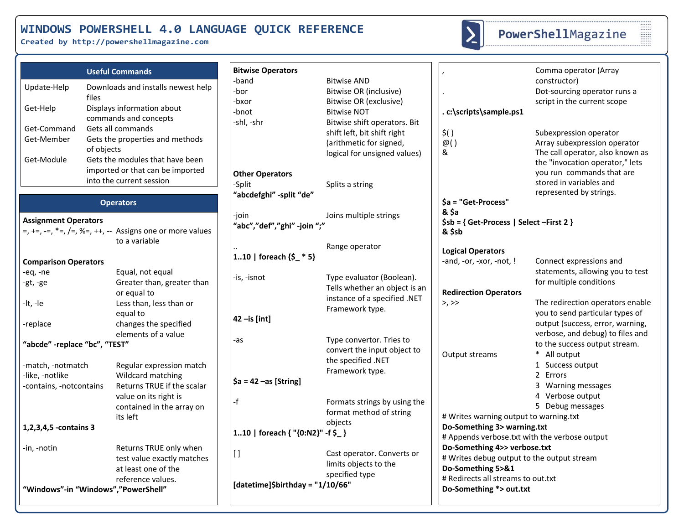**Created by http://powershellmagazine.com**



# PowerShellMagazine

|                                                                 | <b>Useful Commands</b>                                                                                                                                  | <b>Bitwise Operators</b>                      |                                                                                                                              |                                                                                                                                       | Comma operator (Array                                                                                                                                                                 |
|-----------------------------------------------------------------|---------------------------------------------------------------------------------------------------------------------------------------------------------|-----------------------------------------------|------------------------------------------------------------------------------------------------------------------------------|---------------------------------------------------------------------------------------------------------------------------------------|---------------------------------------------------------------------------------------------------------------------------------------------------------------------------------------|
| Update-Help<br>files<br>Get-Help                                | Downloads and installs newest help<br>Displays information about<br>commands and concepts                                                               | -band<br>-bor<br>-bxor<br>-bnot<br>-shl, -shr | <b>Bitwise AND</b><br>Bitwise OR (inclusive)<br>Bitwise OR (exclusive)<br><b>Bitwise NOT</b><br>Bitwise shift operators. Bit | .c:\scripts\sample.ps1                                                                                                                | constructor)<br>Dot-sourcing operator runs a<br>script in the current scope                                                                                                           |
| Get-Command<br>Get-Member<br>of objects<br>Get-Module           | Gets all commands<br>Gets the properties and methods<br>Gets the modules that have been<br>imported or that can be imported<br>into the current session | <b>Other Operators</b>                        | shift left, bit shift right<br>(arithmetic for signed,<br>logical for unsigned values)                                       | $\zeta()$<br>@()<br>&                                                                                                                 | Subexpression operator<br>Array subexpression operator<br>The call operator, also known as<br>the "invocation operator," lets<br>you run commands that are<br>stored in variables and |
|                                                                 | <b>Operators</b>                                                                                                                                        | -Split<br>"abcdefghi" -split "de"             | Splits a string                                                                                                              | \$a = "Get-Process"                                                                                                                   | represented by strings.                                                                                                                                                               |
| <b>Assignment Operators</b>                                     | $=$ , +=, -=, *=, /=, %=, ++, -- Assigns one or more values<br>to a variable                                                                            | -join<br>"abc","def","ghi" -join ";"          | Joins multiple strings                                                                                                       | & Sa<br>$$sb = { Get-Process   Select-First 2 }$<br>& \$sb                                                                            |                                                                                                                                                                                       |
| <b>Comparison Operators</b>                                     |                                                                                                                                                         | 110   foreach $\{5$ * 5}                      | Range operator                                                                                                               | <b>Logical Operators</b><br>-and, -or, -xor, -not, !                                                                                  | Connect expressions and                                                                                                                                                               |
| $-eq, -ne$<br>-gt, -ge                                          | Equal, not equal<br>Greater than, greater than<br>or equal to                                                                                           | -is, -isnot                                   | Type evaluator (Boolean).<br>Tells whether an object is an<br>instance of a specified .NET                                   | <b>Redirection Operators</b>                                                                                                          | statements, allowing you to test<br>for multiple conditions                                                                                                                           |
| -lt, -le<br>-replace                                            | Less than, less than or<br>equal to<br>changes the specified                                                                                            | $42$ -is [int]                                | Framework type.                                                                                                              | >, >                                                                                                                                  | The redirection operators enable<br>you to send particular types of<br>output (success, error, warning,                                                                               |
| "abcde" -replace "bc", "TEST"                                   | elements of a value                                                                                                                                     | -as                                           | Type convertor. Tries to<br>convert the input object to<br>the specified .NET                                                | Output streams                                                                                                                        | verbose, and debug) to files and<br>to the success output stream.<br>* All output                                                                                                     |
| -match, -notmatch<br>-like, -notlike<br>-contains, -notcontains | Regular expression match<br>Wildcard matching<br>Returns TRUE if the scalar                                                                             | $\$a = 42 - as$ [String]                      | Framework type.                                                                                                              |                                                                                                                                       | 1 Success output<br>2 Errors<br>3 Warning messages                                                                                                                                    |
|                                                                 | value on its right is<br>contained in the array on<br>its left                                                                                          | -f                                            | Formats strings by using the<br>format method of string                                                                      | # Writes warning output to warning.txt                                                                                                | 4 Verbose output<br>5 Debug messages                                                                                                                                                  |
| 1,2,3,4,5 -contains 3                                           |                                                                                                                                                         | 110   foreach { "{0:N2}" -f \$_}              | objects                                                                                                                      | Do-Something 3> warning.txt<br># Appends verbose.txt with the verbose output                                                          |                                                                                                                                                                                       |
| -in, -notin                                                     | Returns TRUE only when<br>test value exactly matches<br>at least one of the<br>reference values.                                                        | $[ \ ]$                                       | Cast operator. Converts or<br>limits objects to the<br>specified type                                                        | Do-Something 4>> verbose.txt<br># Writes debug output to the output stream<br>Do-Something 5>&1<br># Redirects all streams to out.txt |                                                                                                                                                                                       |
| "Windows"-in "Windows","PowerShell"                             |                                                                                                                                                         | [datetime]\$birthday = "1/10/66"              |                                                                                                                              | Do-Something *> out.txt                                                                                                               |                                                                                                                                                                                       |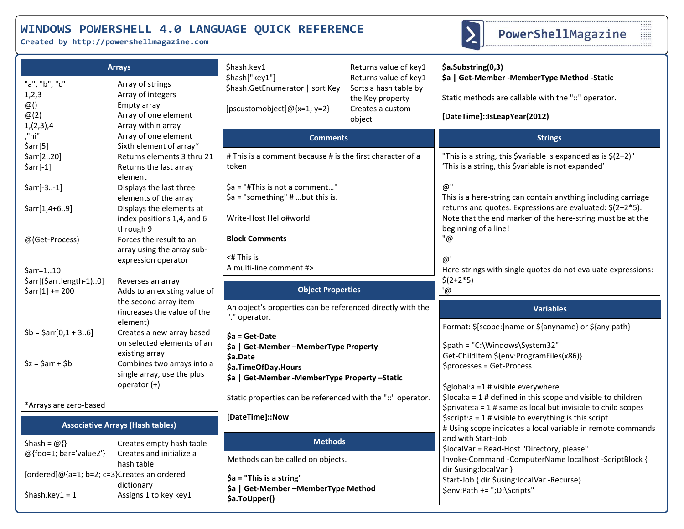**Created by http://powershellmagazine.com**



------<br>------<br>------<br>-------<br>-------

|                                                                  | <b>Arrays</b>                                                                                      | \$hash.key1                                                                         | Returns value of key1                                                                            | \$a.Substring(0,3)                                                                                                                                                                  |  |
|------------------------------------------------------------------|----------------------------------------------------------------------------------------------------|-------------------------------------------------------------------------------------|--------------------------------------------------------------------------------------------------|-------------------------------------------------------------------------------------------------------------------------------------------------------------------------------------|--|
| "a", "b", "c"<br>1,2,3<br>$\omega()$<br>$\omega(2)$<br>1,(2,3),4 | Array of strings<br>Array of integers<br>Empty array<br>Array of one element<br>Array within array | \$hash["key1"]<br>\$hash.GetEnumerator   sort Key<br>[pscustomobject]@{x=1; y=2}    | Returns value of key1<br>Sorts a hash table by<br>the Key property<br>Creates a custom<br>object | \$a   Get-Member - Member Type Method - Static<br>Static methods are callable with the "::" operator.<br>[DateTime]::IsLeapYear(2012)                                               |  |
| ,"hi"                                                            | Array of one element                                                                               | <b>Comments</b>                                                                     |                                                                                                  | <b>Strings</b>                                                                                                                                                                      |  |
| $\frac{5}{2}$ arr[5]<br>\$arr[220]<br>$\text{Sarr}[-1]$          | Sixth element of array*<br>Returns elements 3 thru 21<br>Returns the last array<br>element         | # This is a comment because # is the first character of a<br>token                  |                                                                                                  | "This is a string, this \$variable is expanded as is \$(2+2)"<br>'This is a string, this \$variable is not expanded'                                                                |  |
| $\text{Sarr}[-3-1]$                                              | Displays the last three<br>elements of the array                                                   | \$a = "#This is not a comment"<br>$\$a$ = "something" # but this is.                |                                                                                                  | @"<br>This is a here-string can contain anything including carriage                                                                                                                 |  |
| $\frac{5}{2}arr[1, 4+69]$                                        | Displays the elements at<br>index positions 1,4, and 6<br>through 9                                | Write-Host Hello#world                                                              |                                                                                                  | returns and quotes. Expressions are evaluated: \$(2+2*5).<br>Note that the end marker of the here-string must be at the<br>beginning of a line!                                     |  |
| @(Get-Process)                                                   | Forces the result to an<br>array using the array sub-<br>expression operator                       | <b>Block Comments</b><br>$<$ # This is                                              |                                                                                                  | "@<br>@'                                                                                                                                                                            |  |
| \$arr=110<br>\$arr[(\$arr.length-1)0]                            |                                                                                                    | A multi-line comment #>                                                             |                                                                                                  | Here-strings with single quotes do not evaluate expressions:<br>$$(2+2*5)$                                                                                                          |  |
| $$arr[1] += 200$                                                 | Reverses an array<br>Adds to an existing value of                                                  | <b>Object Properties</b>                                                            |                                                                                                  | $\overline{a}$                                                                                                                                                                      |  |
|                                                                  | the second array item<br>(increases the value of the<br>element)                                   | An object's properties can be referenced directly with the<br>"." operator.         |                                                                                                  | <b>Variables</b>                                                                                                                                                                    |  |
| $$b = $arr[0,1 + 36]$                                            | Creates a new array based<br>on selected elements of an                                            | $$a = Get-Date$<br>\$a   Get-Member - Member Type Property                          |                                                                                                  | Format: \$[scope:]name or \${anyname} or \${any path}<br>\$path = "C:\Windows\System32"                                                                                             |  |
| $\zeta$ z = $\zeta$ arr + $\zeta$ b                              | existing array<br>Combines two arrays into a<br>single array, use the plus<br>operator (+)         | \$a.Date<br>\$a.TimeOfDay.Hours<br>\$a   Get-Member - Member Type Property - Static |                                                                                                  | Get-ChildItem \${env:ProgramFiles(x86)}<br>\$processes = Get-Process                                                                                                                |  |
| *Arrays are zero-based                                           |                                                                                                    | Static properties can be referenced with the "::" operator.                         |                                                                                                  | \$global:a =1 # visible everywhere<br>$\frac{1}{2}$ Slocal:a = 1 # defined in this scope and visible to children<br>$$private: a = 1 # same as local but invisible to child scopes$ |  |
| <b>Associative Arrays (Hash tables)</b>                          |                                                                                                    | [DateTime]::Now                                                                     |                                                                                                  | $\frac{1}{2}$ \$script:a = 1 # visible to everything is this script<br># Using scope indicates a local variable in remote commands                                                  |  |
| \$hash = $@{}$ {}                                                | Creates empty hash table                                                                           | <b>Methods</b>                                                                      |                                                                                                  | and with Start-Job<br>\$localVar = Read-Host "Directory, please"                                                                                                                    |  |
| @{foo=1; bar='value2'}                                           | Creates and initialize a<br>hash table                                                             | Methods can be called on objects.                                                   |                                                                                                  | Invoke-Command -ComputerName localhost -ScriptBlock {                                                                                                                               |  |
| [ordered]@{a=1; b=2; c=3}Creates an ordered                      | dictionary                                                                                         | \$a = "This is a string"                                                            |                                                                                                  | dir \$using:localVar }<br>Start-Job { dir \$using:localVar -Recurse}                                                                                                                |  |
| $$hash-key1 = 1$                                                 | Assigns 1 to key key1                                                                              | \$a   Get-Member - Member Type Method<br>\$a.ToUpper()                              |                                                                                                  | \$env:Path += ";D:\Scripts"                                                                                                                                                         |  |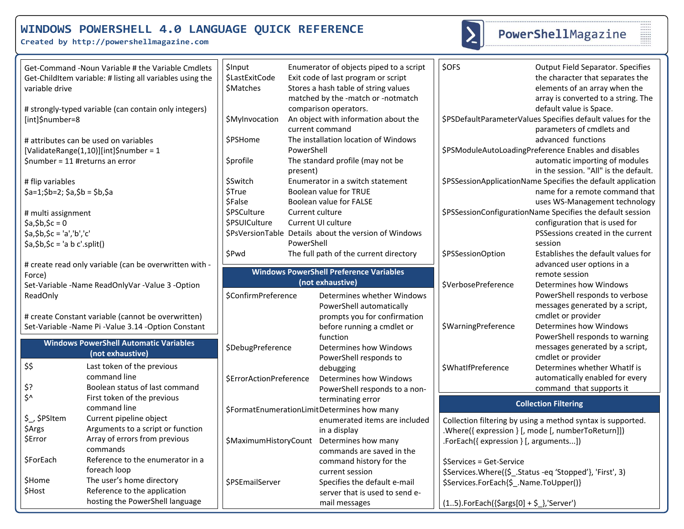**Created by http://powershellmagazine.com**



# PowerShellMagazine

| variable drive                                  | Get-Command -Noun Variable # the Variable Cmdlets<br>Get-ChildItem variable: # listing all variables using the | <b>\$Input</b><br>\$LastExitCode<br>\$Matches                      |            | Enumerator of objects piped to a script<br>Exit code of last program or script<br>Stores a hash table of string values<br>matched by the -match or -notmatch | \$OFS                                       | <b>Output Field Separator. Specifies</b><br>the character that separates the<br>elements of an array when the<br>array is converted to a string. The |
|-------------------------------------------------|----------------------------------------------------------------------------------------------------------------|--------------------------------------------------------------------|------------|--------------------------------------------------------------------------------------------------------------------------------------------------------------|---------------------------------------------|------------------------------------------------------------------------------------------------------------------------------------------------------|
| [int]\$number=8                                 | # strongly-typed variable (can contain only integers)                                                          | \$MyInvocation                                                     |            | comparison operators.<br>An object with information about the<br>current command                                                                             |                                             | default value is Space.<br>\$PSDefaultParameterValues Specifies default values for the<br>parameters of cmdlets and                                  |
|                                                 | # attributes can be used on variables                                                                          | \$PSHome                                                           |            | The installation location of Windows                                                                                                                         |                                             | advanced functions                                                                                                                                   |
|                                                 | [ValidateRange(1,10)][int]\$number = 1                                                                         |                                                                    | PowerShell |                                                                                                                                                              |                                             | \$PSModuleAutoLoadingPreference Enables and disables                                                                                                 |
| \$number = 11 #returns an error                 |                                                                                                                | <b>\$profile</b>                                                   | present)   | The standard profile (may not be                                                                                                                             |                                             | automatic importing of modules<br>in the session. "All" is the default.                                                                              |
| # flip variables                                |                                                                                                                | \$Switch                                                           |            | Enumerator in a switch statement                                                                                                                             |                                             | \$PSSessionApplicationName Specifies the default application                                                                                         |
| $$a=1$ ;\$b=2; \$a,\$b = \$b,\$a                |                                                                                                                | <b>\$True</b>                                                      |            | Boolean value for TRUE                                                                                                                                       |                                             | name for a remote command that                                                                                                                       |
|                                                 |                                                                                                                | <b>\$False</b>                                                     |            | Boolean value for FALSE                                                                                                                                      |                                             | uses WS-Management technology                                                                                                                        |
| # multi assignment                              |                                                                                                                | \$PSCulture                                                        |            | Current culture                                                                                                                                              |                                             | \$PSSessionConfigurationName Specifies the default session                                                                                           |
| $$a, $b, $c = 0$                                |                                                                                                                | \$PSUICulture                                                      |            | Current UI culture                                                                                                                                           |                                             | configuration that is used for                                                                                                                       |
| $$a, $b, $c = 'a', 'b', 'c'$                    |                                                                                                                |                                                                    |            | \$PsVersionTable Details about the version of Windows                                                                                                        |                                             | PSSessions created in the current                                                                                                                    |
| $\sin(5a)$ , $\sin(5c) = \tan(5c)$ . $\sin(5c)$ |                                                                                                                |                                                                    | PowerShell |                                                                                                                                                              |                                             | session                                                                                                                                              |
|                                                 |                                                                                                                | \$Pwd                                                              |            | The full path of the current directory                                                                                                                       | \$PSSessionOption                           | Establishes the default values for                                                                                                                   |
|                                                 | # create read only variable (can be overwritten with -                                                         |                                                                    |            |                                                                                                                                                              |                                             | advanced user options in a                                                                                                                           |
| Force)                                          |                                                                                                                | <b>Windows PowerShell Preference Variables</b><br>(not exhaustive) |            |                                                                                                                                                              | remote session                              |                                                                                                                                                      |
|                                                 | Set-Variable -Name ReadOnlyVar -Value 3 -Option                                                                |                                                                    |            |                                                                                                                                                              | \$VerbosePreference                         | Determines how Windows                                                                                                                               |
| ReadOnly                                        |                                                                                                                | \$ConfirmPreference                                                |            | Determines whether Windows                                                                                                                                   |                                             | PowerShell responds to verbose<br>messages generated by a script,                                                                                    |
|                                                 | # create Constant variable (cannot be overwritten)                                                             |                                                                    |            | PowerShell automatically<br>prompts you for confirmation                                                                                                     |                                             | cmdlet or provider                                                                                                                                   |
|                                                 | Set-Variable -Name Pi -Value 3.14 -Option Constant                                                             |                                                                    |            | before running a cmdlet or                                                                                                                                   | \$WarningPreference                         | Determines how Windows                                                                                                                               |
|                                                 |                                                                                                                |                                                                    |            | function                                                                                                                                                     |                                             | PowerShell responds to warning                                                                                                                       |
|                                                 | <b>Windows PowerShell Automatic Variables</b>                                                                  | \$DebugPreference                                                  |            | Determines how Windows                                                                                                                                       |                                             | messages generated by a script,                                                                                                                      |
|                                                 | (not exhaustive)                                                                                               |                                                                    |            | PowerShell responds to                                                                                                                                       |                                             | cmdlet or provider                                                                                                                                   |
| \$\$                                            | Last token of the previous                                                                                     |                                                                    |            | debugging                                                                                                                                                    | \$WhatIfPreference                          | Determines whether WhatIf is                                                                                                                         |
|                                                 | command line                                                                                                   | <b>SErrorActionPreference</b>                                      |            | Determines how Windows                                                                                                                                       |                                             | automatically enabled for every                                                                                                                      |
| \$?                                             | Boolean status of last command                                                                                 |                                                                    |            | PowerShell responds to a non-                                                                                                                                |                                             | command that supports it                                                                                                                             |
| $\zeta$                                         | First token of the previous                                                                                    |                                                                    |            | terminating error                                                                                                                                            |                                             |                                                                                                                                                      |
|                                                 | command line                                                                                                   |                                                                    |            | \$FormatEnumerationLimitDetermines how many                                                                                                                  |                                             | <b>Collection Filtering</b>                                                                                                                          |
| \$ \$PSItem                                     | Current pipeline object                                                                                        |                                                                    |            | enumerated items are included                                                                                                                                |                                             | Collection filtering by using a method syntax is supported.                                                                                          |
| \$Args                                          | Arguments to a script or function                                                                              |                                                                    |            | in a display                                                                                                                                                 |                                             | .Where({expression } [, mode [, numberToReturn]])                                                                                                    |
| \$Error                                         | Array of errors from previous                                                                                  |                                                                    |            | \$MaximumHistoryCount Determines how many                                                                                                                    | .ForEach({ expression } [, arguments])      |                                                                                                                                                      |
|                                                 | commands                                                                                                       |                                                                    |            | commands are saved in the                                                                                                                                    |                                             |                                                                                                                                                      |
| <b>\$ForEach</b>                                | Reference to the enumerator in a                                                                               |                                                                    |            | command history for the                                                                                                                                      | \$Services = Get-Service                    |                                                                                                                                                      |
|                                                 | foreach loop                                                                                                   |                                                                    |            | current session                                                                                                                                              |                                             | \$Services.Where({\$ _. Status -eq 'Stopped'}, 'First', 3)                                                                                           |
| \$Home                                          | The user's home directory                                                                                      | \$PSEmailServer                                                    |            | Specifies the default e-mail                                                                                                                                 | \$Services.ForEach{\$ .Name.ToUpper()}      |                                                                                                                                                      |
| \$Host                                          | Reference to the application                                                                                   |                                                                    |            | server that is used to send e-                                                                                                                               |                                             |                                                                                                                                                      |
|                                                 | hosting the PowerShell language                                                                                |                                                                    |            | mail messages                                                                                                                                                | $(15).$ ForEach({\$args[0] + \$_},'Server') |                                                                                                                                                      |